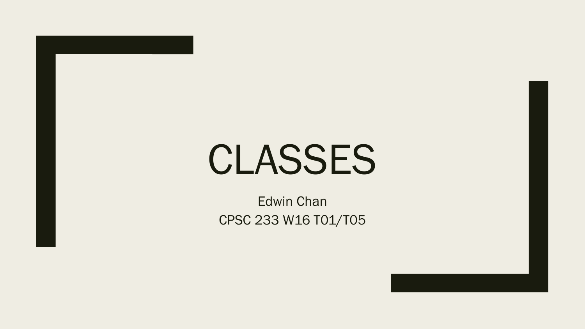# CLASSES

Edwin Chan CPSC 233 W16 T01/T05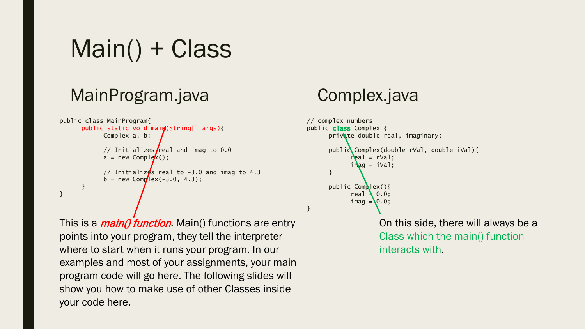Main() + Class

### MainProgram.java

```
public class MainProgram{
      public static void main(String[] args){
            Complex a, b;
            // Initializes real and imag to 0.0
            a = new Complex();
            // Initializes real to -3.0 and imag to 4.3
            b = new Comp/lex(-3.0, 4.3);}
}
```
This is a *main() function*. Main() functions are entry points into your program, they tell the interpreter where to start when it runs your program. In our examples and most of your assignments, your main program code will go here. The following slides will show you how to make use of other Classes inside your code here.

### Complex.java

}

```
// complex numbers
public class Complex \{private double real, imaginary;
      public Complex(double rVal, double iVal){
            real = rVal:
            imag = iVal;
      }
      public Complex(){
            real \geq 0.0:
            imag = 0.0;
```
On this side, there will always be a Class which the main() function interacts with.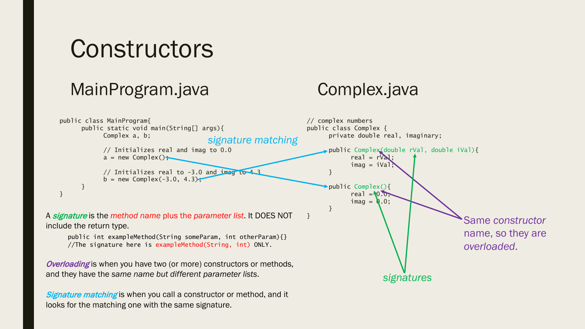### **Constructors**

### MainProgram.java

### Complex.java



Signature matching is when you call a constructor or method, and it looks for the matching one with the same signature.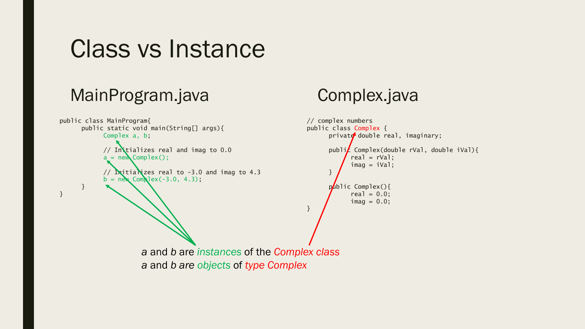### MainProgram.java

```
public class MainProgram{
      public static void main(String[] args){
            Complex a, b;
            // Initializes real and imag to 0.0a = new Complex();
            // Initializes real to -3.0 and imag to 4.3
            b = new Complex(-3.0, 4.3);
      }
}
                                                                   // complex numbers
                                                                   public class Complex {
                                                                         private double real, imaginary;
                                                                         publi\vec{k} Complex(double rVal, double iVal){
                                                                               real = rVal:
                                                                               imaq = iVal;
                                                                         }
                                                                         public Complex(){
                                                                               real = 0.0;
                                                                               imag = 0.0;}
                      a and b are instances of the Complex class
```
Complex.java

*a* and *b are objects* of *type Complex*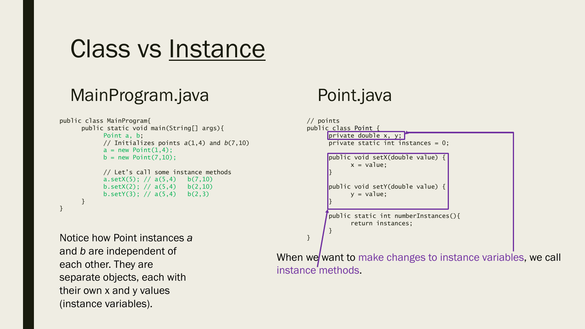### MainProgram.java

```
public class MainProgram{
      public static void main(String[] args){
            Point a, b;
           // Initializes points a(1,4) and b(7,10)
           a = new Point(1, 4);
           b = new Point(7, 10);// Let's call some instance methods
           a.setX(5); // a(5,4) b(7,10)b.setX(2); // a(5,4) b(2,10)b.setY(3); // a(5,4) b(2,3)}
}
```
Notice how Point instances *a B*  $\frac{1}{2}$ and *b* are independent of each other. They are separate objects, each with their own x and y values (instance variables).

### Point.java

```
// points
public class Point {
     private double x, y;
      private static int instances = 0;
      public void setX(double value) {
            x = value;
      }
     public void setY(double value) {
            y = value;}
      public static int numberInstances(){
            return instances;
      }
```
When we want to make changes to instance variables, we call instance methods.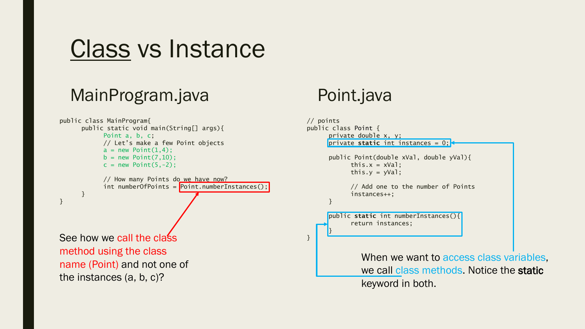### MainProgram.java

```
public class MainProgram{
      public static void main(String[] args){
           Point a, b, c;
           // Let's make a few Point objects
           a = new Point(1, 4);
           b = new Point(7, 10);c = new Point(5, -2);// How many Points do we have now?
           int numberOfPoints = \boxed{\text{Point.numberInstances()}};
      }
}
See how we call the class in the class \frac{1}{3}method using the class 
name (Point) and not one of 
the instances (a, b, c)?
```
### Point.java

```
// points
public class Point {
     private double x, y;
     private static int instances = 0;
     public Point(double xVal, double yVal){
           this.x = xVal;
           this.y = yVal;
           // Add one to the number of Points
           instances++;
     }
     public static int numberInstances(){
           return instances;
      }
              When we want to access class variables,
              we call class methods. Notice the static
              keyword in both.
```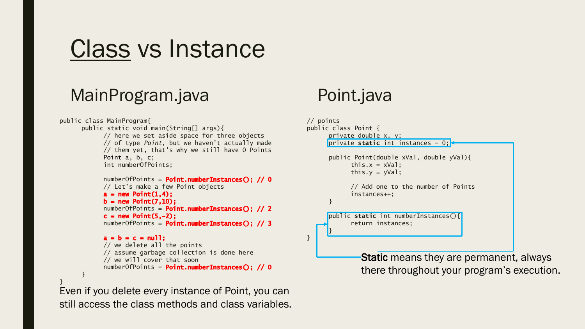#### MainProgram.java

```
public class MainProgram{
      public static void main(String[] args){
            // here we set aside space for three objects
            // of type Point, but we haven't actually made
            // them yet, that's why we still have 0 Points
            Point a, b, c;
            int numberOfPoints;
            numberOfPoints = Point_numberInstance(S): // 0
            // Let's make a few Point objects
            a = new Point(1, 4);
            b = new Point(7, 10);
            numberOfPoints = Point.numberInstances(); // 2
            c = new Point(5, -2):
            numberOfPoints = Point.numberInstances(); // 3
            a = b = c = null:
                                                                    }
            // we delete all the points
            // assume garbage collection is done here
            // we will cover that soon
            numberOfPoints = Point.numberInstances(); // 0
      }
}
Even if you delete every instance of Point, you can
```
still access the class methods and class variables.

### Point.java

```
// points
public class Point {
      private double x, y;
     private static int instances = 0;
      public Point(double xVal, double yVal){
            this.x = xVal;
            this.y = yVal;
            // Add one to the number of Points
            instances++;
      }
      public static int numberInstances(){
            return instances;
      }
```
Static means they are permanent, always there throughout your program's execution.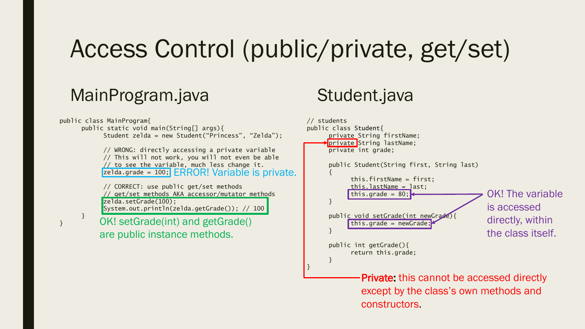# Access Control (public/private, get/set)

#### MainProgram.java

public class MainProgram{ public static void main(String[] args){ Student zelda = new Student("Princess", "Zelda"); // WRONG: directly accessing a private variable // This will not work, you will not even be able // to see the variable, much less change it. zelda.grade = 100; ERROR! Variable is private.// CORRECT: use public get/set methods // get/set methods AKA accessor/mutator methods zelda.setGrade(100); System.out.println(zelda.getGrade()); // 100 } } // students { } } OK! setGrade(int) and getGrade() are public instance methods.

### Student.java

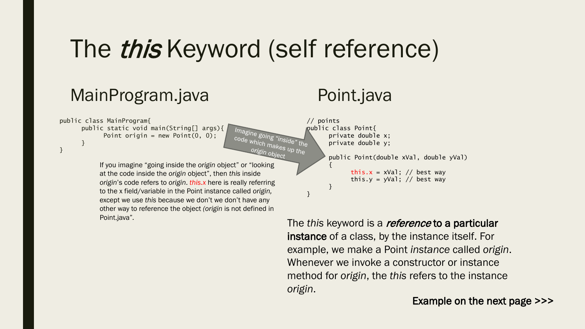## The *this* Keyword (self reference)

code which makes up the<br>origin object up the origin object

#### MainProgram.java

public class MainProgram{ public static void main(String[] args){ Point origin = new Point $(0, 0)$ ; }

}

If you imagine "going inside the *origin* object" or "looking at the code inside the *origin* object", then *this* inside *origin*'s code refers to *origin*. *this.x* here is really referring to the x field/variable in the Point instance called *origin,*  except we use *this* because we don't we don't have any other way to reference the object *(origin* is not defined in Point.java"*.*

### Point.java

// points Imagine going "ineidentle private double private double private double private double private double private  $\frac{1}{2}$ private double x; private double y;

{

}

}

public Point(double xVal, double yVal)

this. $x = xVal$ ; // best way this.y = yVal; // best way

The *this* keyword is a reference to a particular instance of a class, by the instance itself. For example, we make a Point *instance* called *origin*. Whenever we invoke a constructor or instance method for *origin*, the *this* refers to the instance *origin*.

Example on the next page >>>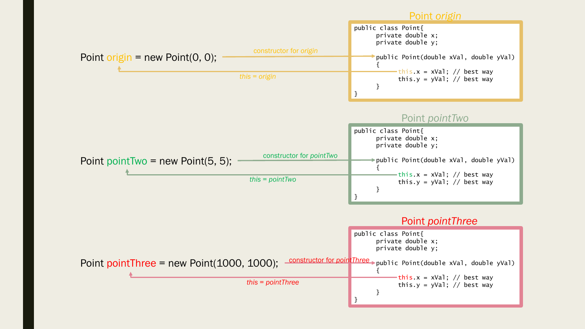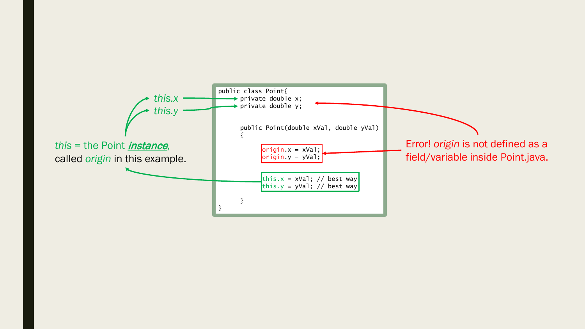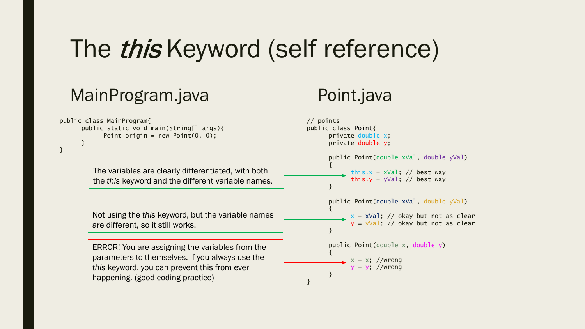# The *this* Keyword (self reference)

### MainProgram.java

### Point.java

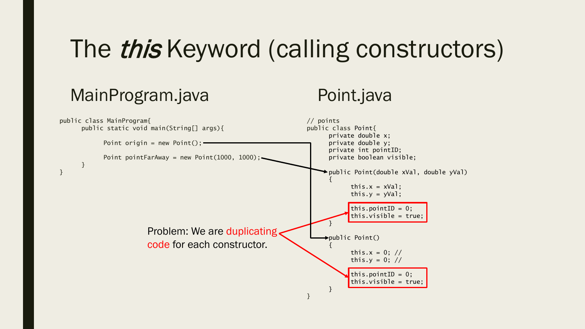# The *this* Keyword (calling constructors)

### MainProgram.java

### Point.java